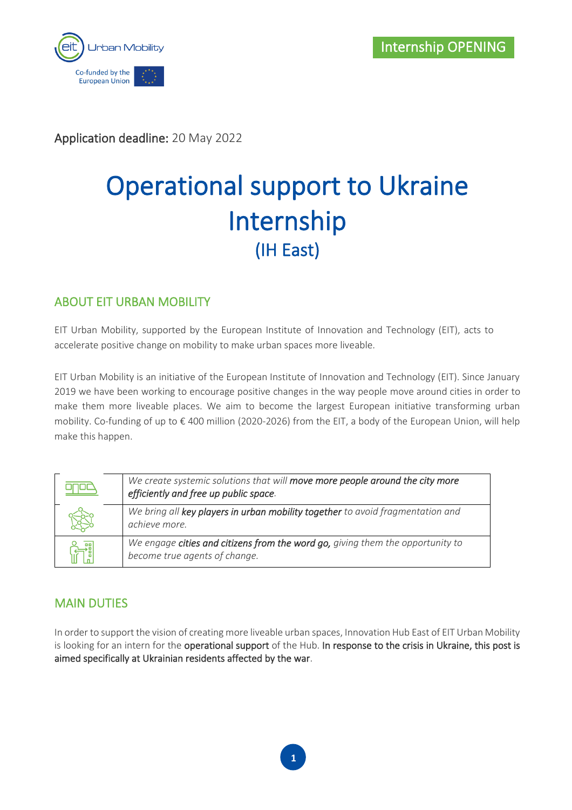

Application deadline: 20 May 2022

# Operational support to Ukraine Internship (IH East)

## ABOUT EIT URBAN MOBILITY

EIT Urban Mobility, supported by the European Institute of Innovation and Technology (EIT), acts to accelerate positive change on mobility to make urban spaces more liveable.

EIT Urban Mobility is an initiative of the European Institute of Innovation and Technology (EIT). Since January 2019 we have been working to encourage positive changes in the way people move around cities in order to make them more liveable places. We aim to become the largest European initiative transforming urban mobility. Co-funding of up to € 400 million (2020-2026) from the EIT, a body of the European Union, will help make this happen.

| We create systemic solutions that will move more people around the city more<br>efficiently and free up public space. |
|-----------------------------------------------------------------------------------------------------------------------|
| We bring all key players in urban mobility together to avoid fragmentation and<br>achieve more.                       |
| We engage cities and citizens from the word go, giving them the opportunity to<br>become true agents of change.       |

## MAIN DUTIES

In order to support the vision of creating more liveable urban spaces, Innovation Hub East of EIT Urban Mobility is looking for an intern for the operational support of the Hub. In response to the crisis in Ukraine, this post is aimed specifically at Ukrainian residents affected by the war.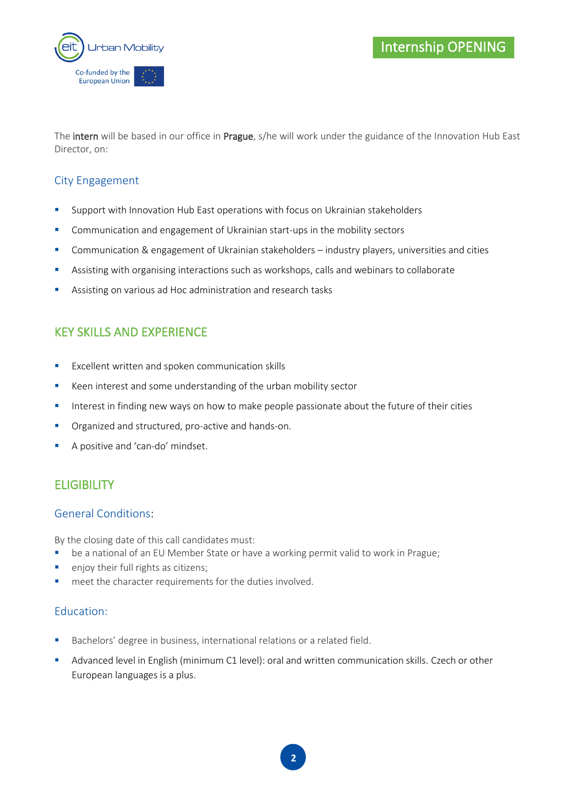

The intern will be based in our office in Prague, s/he will work under the guidance of the Innovation Hub East Director, on:

#### City Engagement

- **E** Support with Innovation Hub East operations with focus on Ukrainian stakeholders
- Communication and engagement of Ukrainian start-ups in the mobility sectors
- Communication & engagement of Ukrainian stakeholders industry players, universities and cities
- Assisting with organising interactions such as workshops, calls and webinars to collaborate
- Assisting on various ad Hoc administration and research tasks

## KEY SKILLS AND EXPERIENCE

- Excellent written and spoken communication skills
- Keen interest and some understanding of the urban mobility sector
- **EXTERGHTM** Interest in finding new ways on how to make people passionate about the future of their cities
- Organized and structured, pro-active and hands-on.
- **A** positive and 'can-do' mindset.

## **ELIGIBILITY**

#### General Conditions:

By the closing date of this call candidates must:

- be a national of an EU Member State or have a working permit valid to work in Prague;
- enjoy their full rights as citizens;
- meet the character requirements for the duties involved.

#### Education:

- Bachelors' degree in business, international relations or a related field.
- Advanced level in English (minimum C1 level): oral and written communication skills. Czech or other European languages is a plus.